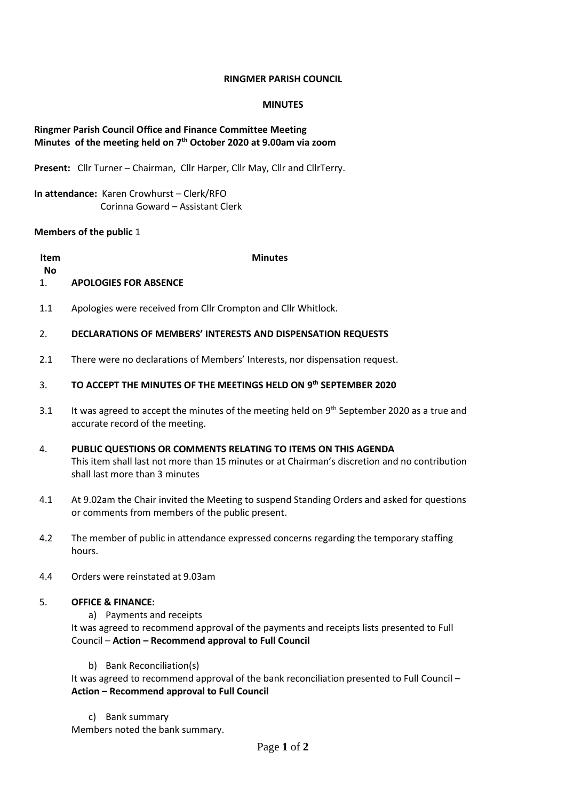### **RINGMER PARISH COUNCIL**

### **MINUTES**

# **Ringmer Parish Council Office and Finance Committee Meeting Minutes of the meeting held on 7 th October 2020 at 9.00am via zoom**

**Present:** Cllr Turner – Chairman, Cllr Harper, Cllr May, Cllr and CllrTerry.

**In attendance:** Karen Crowhurst – Clerk/RFO Corinna Goward – Assistant Clerk

### **Members of the public** 1

**Item**

1.

**Minutes**

**No**

# **APOLOGIES FOR ABSENCE**

1.1 Apologies were received from Cllr Crompton and Cllr Whitlock.

#### 2. **DECLARATIONS OF MEMBERS' INTERESTS AND DISPENSATION REQUESTS**

2.1 There were no declarations of Members' Interests, nor dispensation request.

#### 3. **TO ACCEPT THE MINUTES OF THE MEETINGS HELD ON 9 th SEPTEMBER 2020**

- 3.1 It was agreed to accept the minutes of the meeting held on  $9<sup>th</sup>$  September 2020 as a true and accurate record of the meeting.
- 4. **PUBLIC QUESTIONS OR COMMENTS RELATING TO ITEMS ON THIS AGENDA** This item shall last not more than 15 minutes or at Chairman's discretion and no contribution shall last more than 3 minutes
- 4.1 At 9.02am the Chair invited the Meeting to suspend Standing Orders and asked for questions or comments from members of the public present.
- 4.2 The member of public in attendance expressed concerns regarding the temporary staffing hours.
- 4.4 Orders were reinstated at 9.03am

### 5. **OFFICE & FINANCE:**

a) Payments and receipts

It was agreed to recommend approval of the payments and receipts lists presented to Full Council – **Action – Recommend approval to Full Council**

b) Bank Reconciliation(s)

It was agreed to recommend approval of the bank reconciliation presented to Full Council – **Action – Recommend approval to Full Council**

c) Bank summary

Members noted the bank summary.